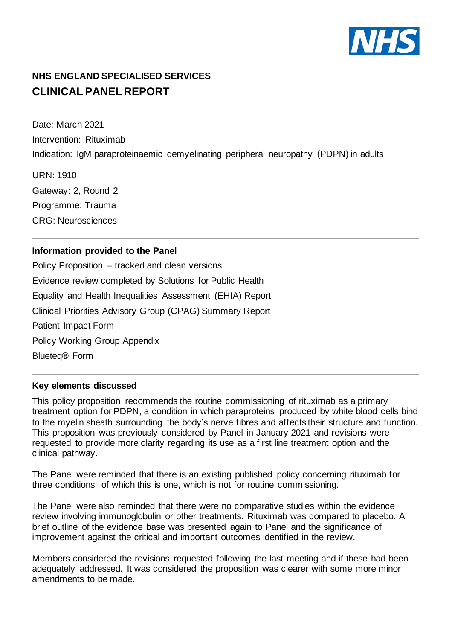

# **NHS ENGLAND SPECIALISED SERVICES CLINICAL PANEL REPORT**

Date: March 2021 Intervention: Rituximab Indication: IgM paraproteinaemic demyelinating peripheral neuropathy (PDPN) in adults

URN: 1910 Gateway: 2, Round 2 Programme: Trauma CRG: Neurosciences

## **Information provided to the Panel**

Policy Proposition – tracked and clean versions Evidence review completed by Solutions for Public Health Equality and Health Inequalities Assessment (EHIA) Report Clinical Priorities Advisory Group (CPAG) Summary Report Patient Impact Form Policy Working Group Appendix Blueteq® Form

## **Key elements discussed**

This policy proposition recommends the routine commissioning of rituximab as a primary treatment option for PDPN, a condition in which paraproteins produced by white blood cells bind to the myelin sheath surrounding the body's nerve fibres and affects their structure and function. This proposition was previously considered by Panel in January 2021 and revisions were requested to provide more clarity regarding its use as a first line treatment option and the clinical pathway.

The Panel were reminded that there is an existing published policy concerning rituximab for three conditions, of which this is one, which is not for routine commissioning.

The Panel were also reminded that there were no comparative studies within the evidence review involving immunoglobulin or other treatments. Rituximab was compared to placebo. A brief outline of the evidence base was presented again to Panel and the significance of improvement against the critical and important outcomes identified in the review.

Members considered the revisions requested following the last meeting and if these had been adequately addressed. It was considered the proposition was clearer with some more minor amendments to be made.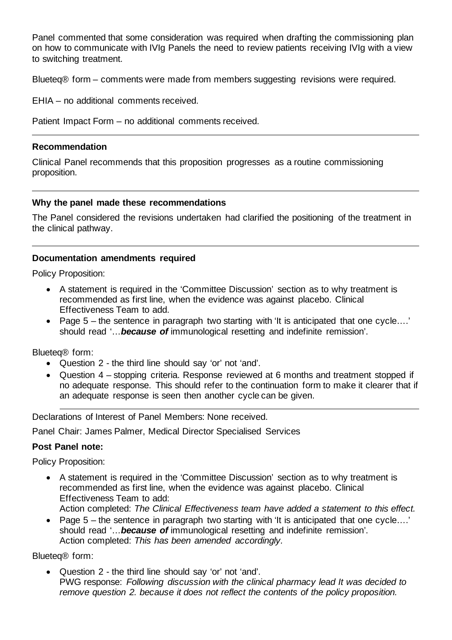Panel commented that some consideration was required when drafting the commissioning plan on how to communicate with IVIg Panels the need to review patients receiving IVIg with a view to switching treatment.

Blueteq® form – comments were made from members suggesting revisions were required.

EHIA – no additional comments received.

Patient Impact Form – no additional comments received.

#### **Recommendation**

Clinical Panel recommends that this proposition progresses as a routine commissioning proposition.

#### **Why the panel made these recommendations**

The Panel considered the revisions undertaken had clarified the positioning of the treatment in the clinical pathway.

### **Documentation amendments required**

Policy Proposition:

- A statement is required in the 'Committee Discussion' section as to why treatment is recommended as first line, when the evidence was against placebo. Clinical Effectiveness Team to add.
- Page 5 the sentence in paragraph two starting with 'It is anticipated that one cycle….' should read '…*because of* immunological resetting and indefinite remission'.

Blueteq® form:

- Question 2 the third line should say 'or' not 'and'.
- Question 4 stopping criteria. Response reviewed at 6 months and treatment stopped if no adequate response. This should refer to the continuation form to make it clearer that if an adequate response is seen then another cycle can be given.

Declarations of Interest of Panel Members: None received.

Panel Chair: James Palmer, Medical Director Specialised Services

## **Post Panel note:**

Policy Proposition:

• A statement is required in the 'Committee Discussion' section as to why treatment is recommended as first line, when the evidence was against placebo. Clinical Effectiveness Team to add:

Action completed: *The Clinical Effectiveness team have added a statement to this effect.*

• Page 5 – the sentence in paragraph two starting with 'It is anticipated that one cycle....' should read '…*because of* immunological resetting and indefinite remission'. Action completed: *This has been amended accordingly.*

Blueteq® form:

• Question 2 - the third line should say 'or' not 'and'. PWG response: *Following discussion with the clinical pharmacy lead It was decided to remove question 2. because it does not reflect the contents of the policy proposition.*